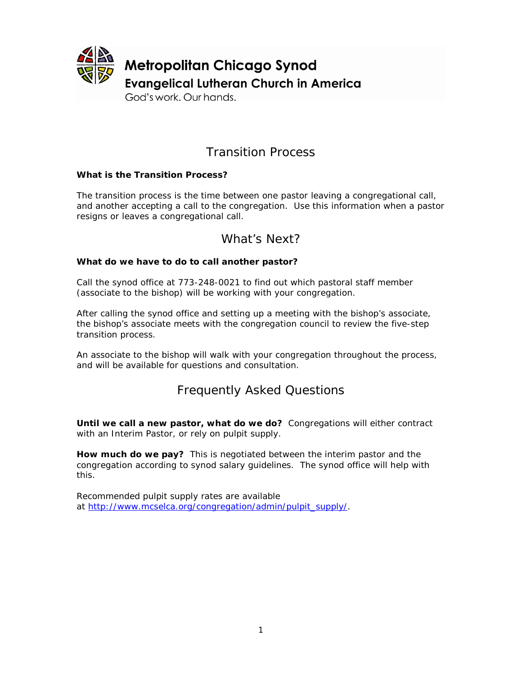

### Transition Process

#### **What is the Transition Process?**

The transition process is the time between one pastor leaving a congregational call, and another accepting a call to the congregation. Use this information when a pastor resigns or leaves a congregational call.

### What's Next?

#### **What do we have to do to call another pastor?**

Call the synod office at 773-248-0021 to find out which pastoral staff member (associate to the bishop) will be working with your congregation.

After calling the synod office and setting up a meeting with the bishop's associate, the bishop's associate meets with the congregation council to review the five-step transition process.

An associate to the bishop will walk with your congregation throughout the process, and will be available for questions and consultation.

### Frequently Asked Questions

**Until we call a new pastor, what do we do?** Congregations will either contract with an Interim Pastor, or rely on pulpit supply.

**How much do we pay?** This is negotiated between the interim pastor and the congregation according to synod salary guidelines. The synod office will help with this.

Recommended pulpit supply rates are available at [http://www.mcselca.org/congregation/admin/pulpit\\_supply/.](http://www.mcselca.org/congregation/admin/pulpit_supply/)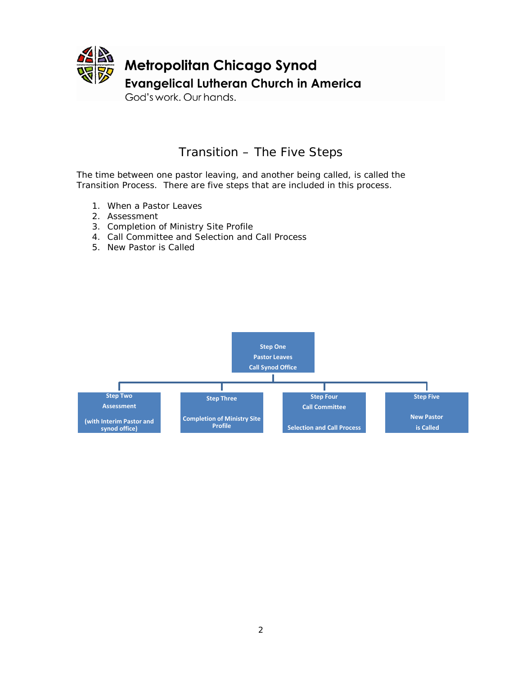

### Transition – The Five Steps

The time between one pastor leaving, and another being called, is called the Transition Process. There are five steps that are included in this process.

- 1. When a Pastor Leaves
- 2. Assessment
- 3. Completion of Ministry Site Profile
- 4. Call Committee and Selection and Call Process
- 5. New Pastor is Called

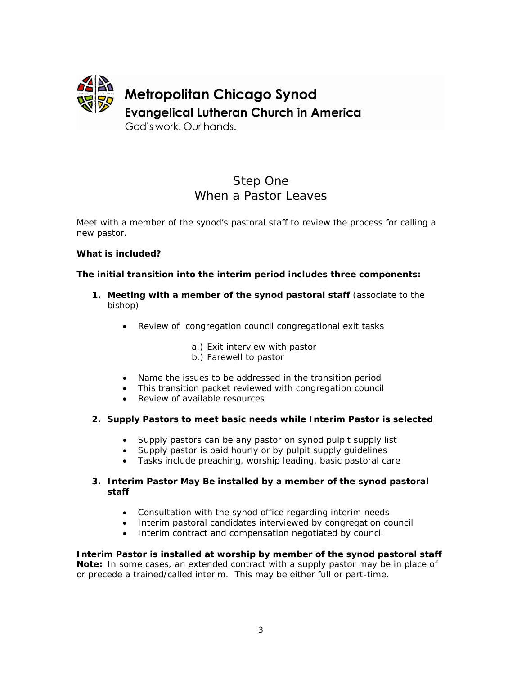

### Step One When a Pastor Leaves

Meet with a member of the synod's pastoral staff to review the process for calling a new pastor.

#### **What is included?**

#### **The initial transition into the interim period includes three components:**

- **1. Meeting with a member of the synod pastoral staff** (associate to the bishop)
	- Review of congregation council congregational exit tasks

a.) Exit interview with pastor b.) Farewell to pastor

- Name the issues to be addressed in the transition period
- This transition packet reviewed with congregation council
- Review of available resources

#### **2. Supply Pastors to meet basic needs while Interim Pastor is selected**

- Supply pastors can be any pastor on synod pulpit supply list
- Supply pastor is paid hourly or by pulpit supply guidelines
- Tasks include preaching, worship leading, basic pastoral care

#### **3. Interim Pastor May Be installed by a member of the synod pastoral staff**

- Consultation with the synod office regarding interim needs
- Interim pastoral candidates interviewed by congregation council
- Interim contract and compensation negotiated by council

**Interim Pastor is installed at worship by member of the synod pastoral staff Note:** In some cases, an extended contract with a supply pastor may be in place of or precede a trained/called interim. This may be either full or part-time.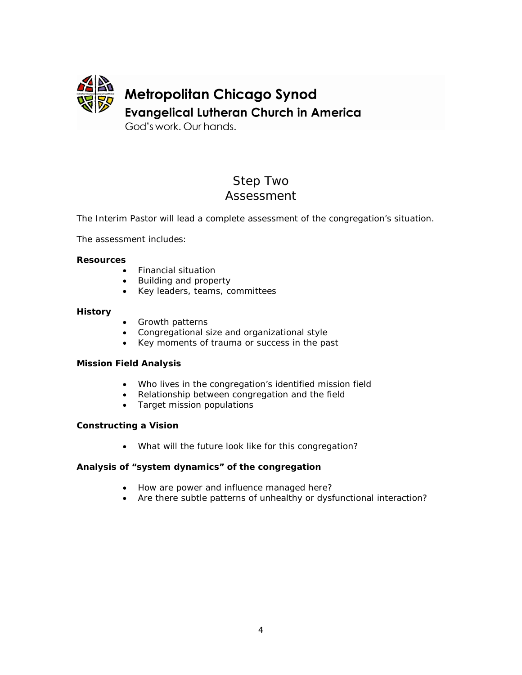

God's work, Our hands.

## Step Two Assessment

The Interim Pastor will lead a complete assessment of the congregation's situation.

The assessment includes:

#### **Resources**

- Financial situation
- Building and property
- Key leaders, teams, committees

#### **History**

- Growth patterns
- Congregational size and organizational style
- Key moments of trauma or success in the past

#### **Mission Field Analysis**

- Who lives in the congregation's identified mission field
- Relationship between congregation and the field
- Target mission populations

#### **Constructing a Vision**

• What will the future look like for this congregation?

#### **Analysis of "system dynamics" of the congregation**

- How are power and influence managed here?
- Are there subtle patterns of unhealthy or dysfunctional interaction?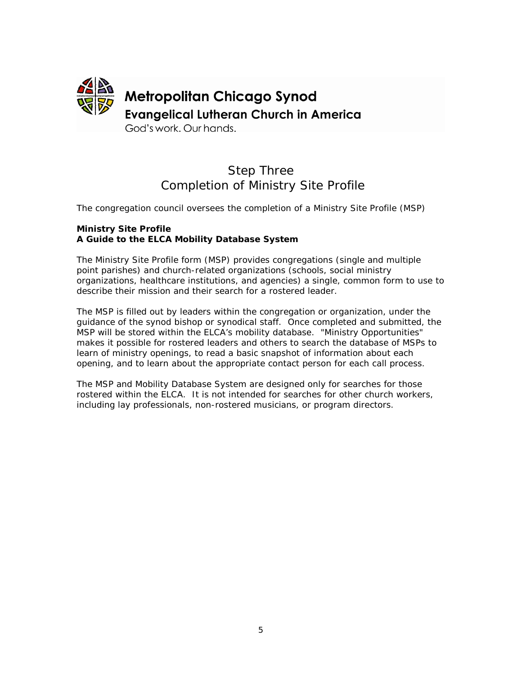

### Step Three Completion of Ministry Site Profile

The congregation council oversees the completion of a Ministry Site Profile (MSP)

#### **Ministry Site Profile A Guide to the ELCA Mobility Database System**

The Ministry Site Profile form (MSP) provides congregations (single and multiple point parishes) and church-related organizations (schools, social ministry organizations, healthcare institutions, and agencies) a single, common form to use to describe their mission and their search for a rostered leader.

The MSP is filled out by leaders within the congregation or organization, under the guidance of the synod bishop or synodical staff. Once completed and submitted, the MSP will be stored within the ELCA's mobility database. "Ministry Opportunities" makes it possible for rostered leaders and others to search the database of MSPs to learn of ministry openings, to read a basic snapshot of information about each opening, and to learn about the appropriate contact person for each call process.

The MSP and Mobility Database System are designed only for searches for those rostered within the ELCA. It is not intended for searches for other church workers, including lay professionals, non-rostered musicians, or program directors.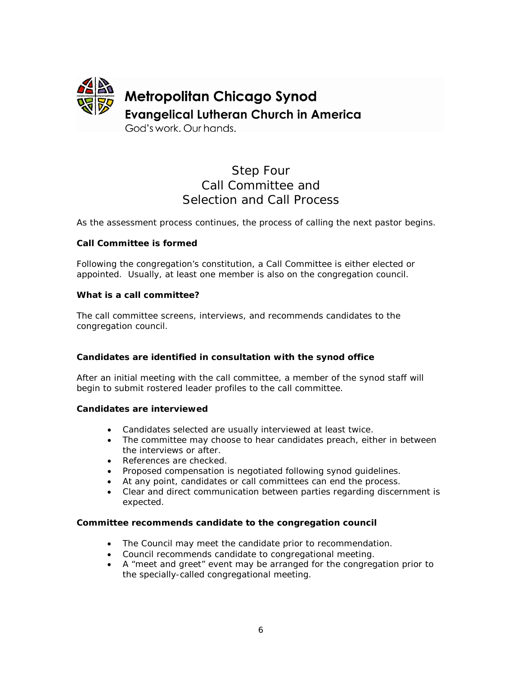

### Step Four Call Committee and Selection and Call Process

As the assessment process continues, the process of calling the next pastor begins.

#### **Call Committee is formed**

Following the congregation's constitution, a Call Committee is either elected or appointed. Usually, at least one member is also on the congregation council.

#### **What is a call committee?**

The call committee screens, interviews, and recommends candidates to the congregation council.

#### **Candidates are identified in consultation with the synod office**

After an initial meeting with the call committee, a member of the synod staff will begin to submit rostered leader profiles to the call committee.

#### **Candidates are interviewed**

- Candidates selected are usually interviewed at least twice.
- The committee may choose to hear candidates preach, either in between the interviews or after.
- References are checked.
- Proposed compensation is negotiated following synod guidelines.
- At any point, candidates or call committees can end the process.
- Clear and direct communication between parties regarding discernment is expected.

#### **Committee recommends candidate to the congregation council**

- The Council may meet the candidate prior to recommendation.
- Council recommends candidate to congregational meeting.
- A "meet and greet" event may be arranged for the congregation prior to the specially-called congregational meeting.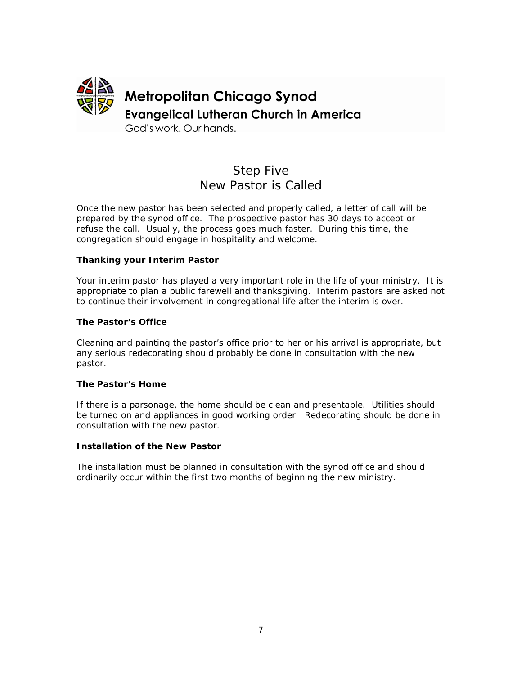

### Step Five New Pastor is Called

Once the new pastor has been selected and properly called, a letter of call will be prepared by the synod office. The prospective pastor has 30 days to accept or refuse the call. Usually, the process goes much faster. During this time, the congregation should engage in hospitality and welcome.

#### **Thanking your Interim Pastor**

Your interim pastor has played a very important role in the life of your ministry. It is appropriate to plan a public farewell and thanksgiving. Interim pastors are asked not to continue their involvement in congregational life after the interim is over.

#### **The Pastor's Office**

Cleaning and painting the pastor's office prior to her or his arrival is appropriate, but any serious redecorating should probably be done in consultation with the new pastor.

#### **The Pastor's Home**

If there is a parsonage, the home should be clean and presentable. Utilities should be turned on and appliances in good working order. Redecorating should be done in consultation with the new pastor.

#### **Installation of the New Pastor**

The installation must be planned in consultation with the synod office and should ordinarily occur within the first two months of beginning the new ministry.